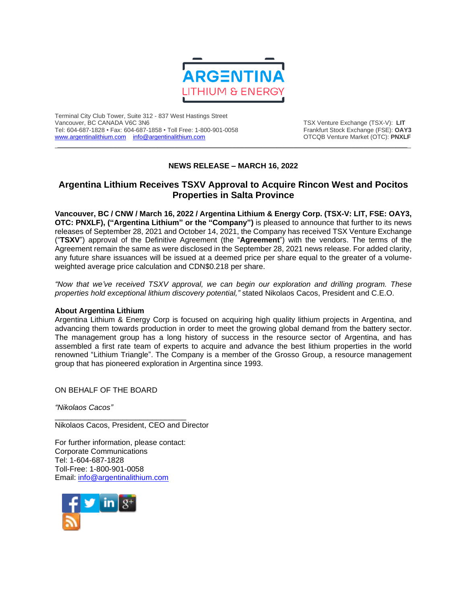

Terminal City Club Tower, Suite 312 - 837 West Hastings Street Tel: 604-687-1828 • Fax: 604-687-1858 • Toll Free: 1-800-901-0058 Frankfurt Stock Exchange (FSE): **OAY3**<br>https://www.argentinalithium.com info@argentinalithium.com into the source of the CTCQB Venture Market (OTC): PNXLF [www.argentinalithium.com](http://www.argentinalithium.com/) [info@argentinalithium.com](mailto:info@argentinalithium.com)

TSX Venture Exchange (TSX-V): LIT<br>Frankfurt Stock Exchange (FSE): OAY3

## **NEWS RELEASE – MARCH 16, 2022**

 $\_$  ,  $\_$  ,  $\_$  ,  $\_$  ,  $\_$  ,  $\_$  ,  $\_$  ,  $\_$  ,  $\_$  ,  $\_$  ,  $\_$  ,  $\_$  ,  $\_$  ,  $\_$  ,  $\_$  ,  $\_$  ,  $\_$  ,  $\_$  ,  $\_$  ,  $\_$  ,  $\_$  ,  $\_$  ,  $\_$  ,  $\_$  ,  $\_$  ,  $\_$  ,  $\_$  ,  $\_$  ,  $\_$  ,  $\_$  ,  $\_$  ,  $\_$  ,  $\_$  ,  $\_$  ,  $\_$  ,  $\_$  ,  $\_$  ,

## **Argentina Lithium Receives TSXV Approval to Acquire Rincon West and Pocitos Properties in Salta Province**

**Vancouver, BC / CNW / March 16, 2022 / Argentina Lithium & Energy Corp. (TSX-V: LIT, FSE: OAY3, OTC: PNXLF), ("Argentina Lithium" or the "Company")** is pleased to announce that further to its news releases of September 28, 2021 and October 14, 2021, the Company has received TSX Venture Exchange ("**TSXV**") approval of the Definitive Agreement (the "**Agreement**") with the vendors. The terms of the Agreement remain the same as were disclosed in the September 28, 2021 news release. For added clarity, any future share issuances will be issued at a deemed price per share equal to the greater of a volumeweighted average price calculation and CDN\$0.218 per share.

*"Now that we've received TSXV approval, we can begin our exploration and drilling program. These properties hold exceptional lithium discovery potential,"* stated Nikolaos Cacos, President and C.E.O.

## **About Argentina Lithium**

Argentina Lithium & Energy Corp is focused on acquiring high quality lithium projects in Argentina, and advancing them towards production in order to meet the growing global demand from the battery sector. The management group has a long history of success in the resource sector of Argentina, and has assembled a first rate team of experts to acquire and advance the best lithium properties in the world renowned "Lithium Triangle". The Company is a member of the Grosso Group, a resource management group that has pioneered exploration in Argentina since 1993.

ON BEHALF OF THE BOARD

*"Nikolaos Cacos"*

Nikolaos Cacos, President, CEO and Director

For further information, please contact: Corporate Communications Tel: 1-604-687-1828 Toll-Free: 1-800-901-0058 Email: [info@argentinalithium.com](mailto:info@argentinalithium.com)

\_\_\_\_\_\_\_\_\_\_\_\_\_\_\_\_\_\_\_\_\_\_\_\_\_\_\_\_\_\_\_